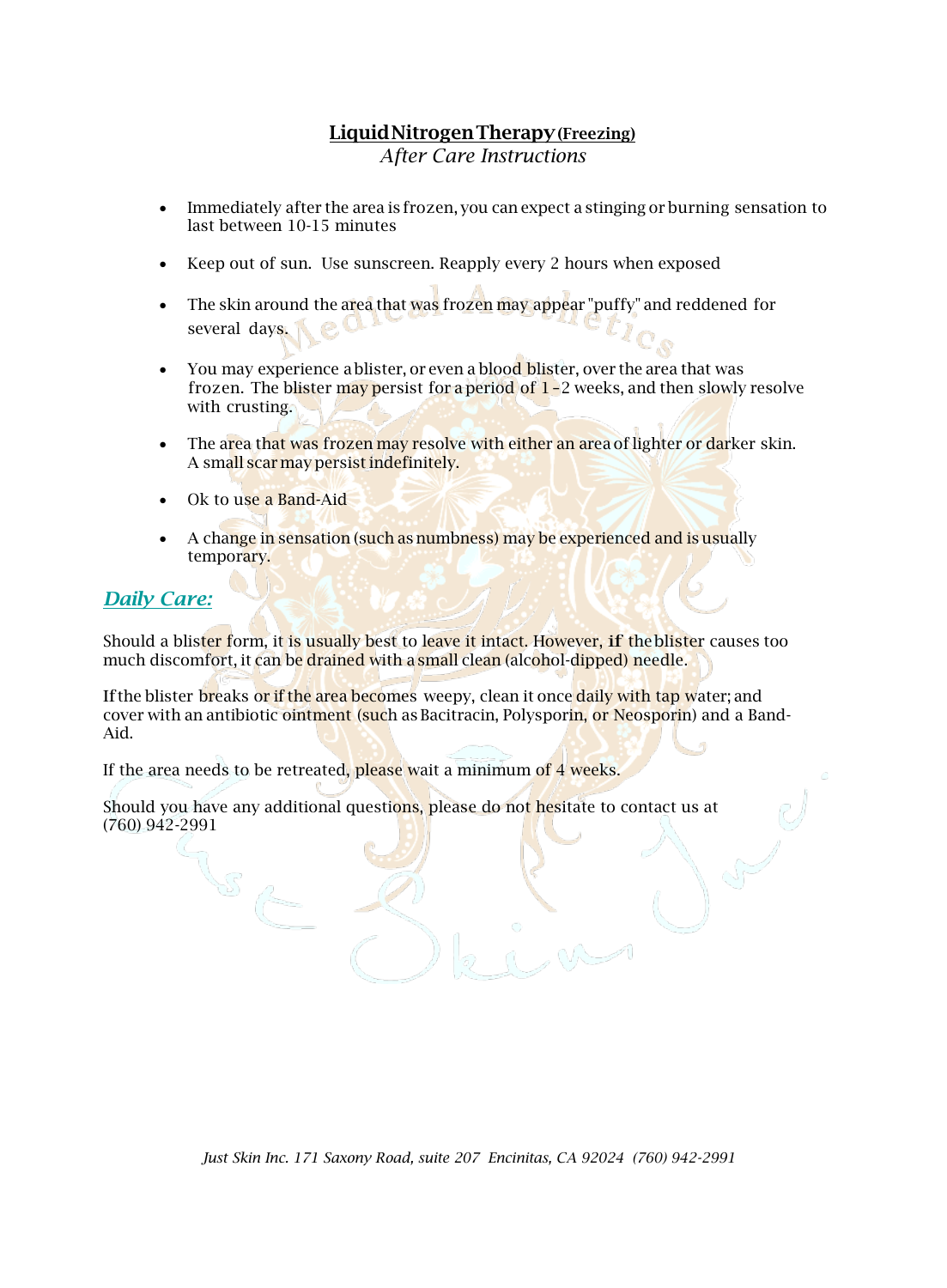## **LiquidNitrogenTherapy(Freezing)** *After Care Instructions*

- Immediately after the area is frozen, you can expect a stinging or burning sensation to last between 10-15 minutes
- Keep out of sun. Use sunscreen. Reapply every 2 hours when exposed
- The skin around the area that was frozen may appear "puffy" and reddened for several days.
- You may experience a blister, or even a blood blister, over the area that was frozen. The blister may persist for a period of  $1$ -2 weeks, and then slowly resolve with crusting.
- The area that was frozen may resolve with either an area of lighter or darker skin. A small scarmay persistindefinitely.
- Ok to use a Band-Aid
- A change in sensation (such as numbness) may be experienced and is usually temporary.

## *Daily Care:*

Should a blister form, it is usually best to leave it intact. However, if theblister causes too much discomfort, it can be drained with a small clean (alcohol-dipped) needle.

If the blister breaks or if the area becomes weepy, clean it once daily with tap water; and cover with an antibiotic ointment (such as Bacitracin, Polysporin, or Neosporin) and a Band-Aid.

If the area needs to be retreated, please wait a minimum of 4 weeks.

Should you have any additional questions, please do not hesitate to contact us at (760) 942-2991